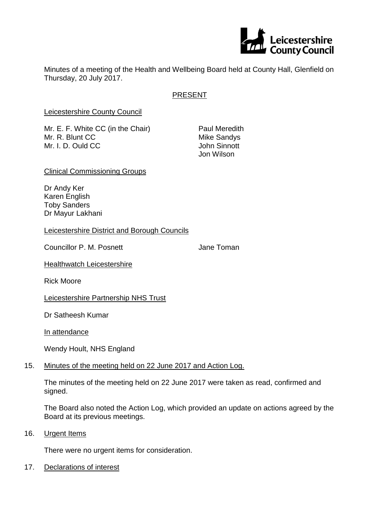

Minutes of a meeting of the Health and Wellbeing Board held at County Hall, Glenfield on Thursday, 20 July 2017.

# PRESENT

Leicestershire County Council

Mr. E. F. White CC (in the Chair) Paul Meredith Mr. R. Blunt CC Mike Sandys Mr. I. D. Ould CC **John Sinnott** 

Jon Wilson

Clinical Commissioning Groups

Dr Andy Ker Karen English Toby Sanders Dr Mayur Lakhani

Leicestershire District and Borough Councils

Councillor P. M. Posnett **Councillor P. M. Posnett** Jane Toman

**Healthwatch Leicestershire** 

Rick Moore

Leicestershire Partnership NHS Trust

Dr Satheesh Kumar

In attendance

Wendy Hoult, NHS England

## 15. Minutes of the meeting held on 22 June 2017 and Action Log.

The minutes of the meeting held on 22 June 2017 were taken as read, confirmed and signed.

The Board also noted the Action Log, which provided an update on actions agreed by the Board at its previous meetings.

16. Urgent Items

There were no urgent items for consideration.

17. Declarations of interest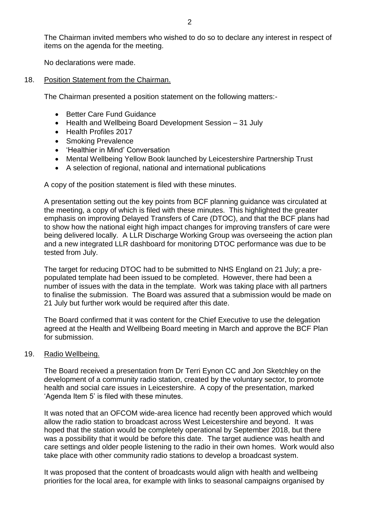The Chairman invited members who wished to do so to declare any interest in respect of items on the agenda for the meeting.

No declarations were made.

18. Position Statement from the Chairman.

The Chairman presented a position statement on the following matters:-

- Better Care Fund Guidance
- Health and Wellbeing Board Development Session 31 July
- Health Profiles 2017
- Smoking Prevalence
- Healthier in Mind' Conversation
- Mental Wellbeing Yellow Book launched by Leicestershire Partnership Trust
- A selection of regional, national and international publications

A copy of the position statement is filed with these minutes.

A presentation setting out the key points from BCF planning guidance was circulated at the meeting, a copy of which is filed with these minutes. This highlighted the greater emphasis on improving Delayed Transfers of Care (DTOC), and that the BCF plans had to show how the national eight high impact changes for improving transfers of care were being delivered locally. A LLR Discharge Working Group was overseeing the action plan and a new integrated LLR dashboard for monitoring DTOC performance was due to be tested from July.

The target for reducing DTOC had to be submitted to NHS England on 21 July; a prepopulated template had been issued to be completed. However, there had been a number of issues with the data in the template. Work was taking place with all partners to finalise the submission. The Board was assured that a submission would be made on 21 July but further work would be required after this date.

The Board confirmed that it was content for the Chief Executive to use the delegation agreed at the Health and Wellbeing Board meeting in March and approve the BCF Plan for submission.

#### 19. Radio Wellbeing.

The Board received a presentation from Dr Terri Eynon CC and Jon Sketchley on the development of a community radio station, created by the voluntary sector, to promote health and social care issues in Leicestershire. A copy of the presentation, marked 'Agenda Item 5' is filed with these minutes.

It was noted that an OFCOM wide-area licence had recently been approved which would allow the radio station to broadcast across West Leicestershire and beyond. It was hoped that the station would be completely operational by September 2018, but there was a possibility that it would be before this date. The target audience was health and care settings and older people listening to the radio in their own homes. Work would also take place with other community radio stations to develop a broadcast system.

It was proposed that the content of broadcasts would align with health and wellbeing priorities for the local area, for example with links to seasonal campaigns organised by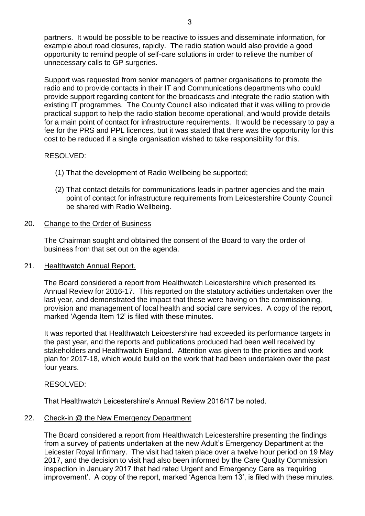partners. It would be possible to be reactive to issues and disseminate information, for example about road closures, rapidly. The radio station would also provide a good opportunity to remind people of self-care solutions in order to relieve the number of unnecessary calls to GP surgeries.

Support was requested from senior managers of partner organisations to promote the radio and to provide contacts in their IT and Communications departments who could provide support regarding content for the broadcasts and integrate the radio station with existing IT programmes. The County Council also indicated that it was willing to provide practical support to help the radio station become operational, and would provide details for a main point of contact for infrastructure requirements. It would be necessary to pay a fee for the PRS and PPL licences, but it was stated that there was the opportunity for this cost to be reduced if a single organisation wished to take responsibility for this.

# RESOLVED:

- (1) That the development of Radio Wellbeing be supported;
- (2) That contact details for communications leads in partner agencies and the main point of contact for infrastructure requirements from Leicestershire County Council be shared with Radio Wellbeing.

# 20. Change to the Order of Business

The Chairman sought and obtained the consent of the Board to vary the order of business from that set out on the agenda.

## 21. Healthwatch Annual Report.

The Board considered a report from Healthwatch Leicestershire which presented its Annual Review for 2016-17. This reported on the statutory activities undertaken over the last year, and demonstrated the impact that these were having on the commissioning, provision and management of local health and social care services. A copy of the report, marked 'Agenda Item 12' is filed with these minutes.

It was reported that Healthwatch Leicestershire had exceeded its performance targets in the past year, and the reports and publications produced had been well received by stakeholders and Healthwatch England. Attention was given to the priorities and work plan for 2017-18, which would build on the work that had been undertaken over the past four years.

## RESOLVED:

That Healthwatch Leicestershire's Annual Review 2016/17 be noted.

## 22. Check-in @ the New Emergency Department

The Board considered a report from Healthwatch Leicestershire presenting the findings from a survey of patients undertaken at the new Adult's Emergency Department at the Leicester Royal Infirmary. The visit had taken place over a twelve hour period on 19 May 2017, and the decision to visit had also been informed by the Care Quality Commission inspection in January 2017 that had rated Urgent and Emergency Care as 'requiring improvement'. A copy of the report, marked 'Agenda Item 13', is filed with these minutes.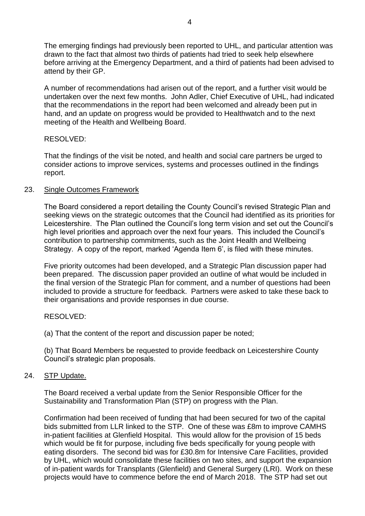The emerging findings had previously been reported to UHL, and particular attention was drawn to the fact that almost two thirds of patients had tried to seek help elsewhere before arriving at the Emergency Department, and a third of patients had been advised to attend by their GP.

A number of recommendations had arisen out of the report, and a further visit would be undertaken over the next few months. John Adler, Chief Executive of UHL, had indicated that the recommendations in the report had been welcomed and already been put in hand, and an update on progress would be provided to Healthwatch and to the next meeting of the Health and Wellbeing Board.

## RESOLVED:

That the findings of the visit be noted, and health and social care partners be urged to consider actions to improve services, systems and processes outlined in the findings report.

#### 23. Single Outcomes Framework

The Board considered a report detailing the County Council's revised Strategic Plan and seeking views on the strategic outcomes that the Council had identified as its priorities for Leicestershire. The Plan outlined the Council's long term vision and set out the Council's high level priorities and approach over the next four years. This included the Council's contribution to partnership commitments, such as the Joint Health and Wellbeing Strategy. A copy of the report, marked 'Agenda Item 6', is filed with these minutes.

Five priority outcomes had been developed, and a Strategic Plan discussion paper had been prepared. The discussion paper provided an outline of what would be included in the final version of the Strategic Plan for comment, and a number of questions had been included to provide a structure for feedback. Partners were asked to take these back to their organisations and provide responses in due course.

## RESOLVED:

(a) That the content of the report and discussion paper be noted;

(b) That Board Members be requested to provide feedback on Leicestershire County Council's strategic plan proposals.

## 24. STP Update.

The Board received a verbal update from the Senior Responsible Officer for the Sustainability and Transformation Plan (STP) on progress with the Plan.

Confirmation had been received of funding that had been secured for two of the capital bids submitted from LLR linked to the STP. One of these was £8m to improve CAMHS in-patient facilities at Glenfield Hospital. This would allow for the provision of 15 beds which would be fit for purpose, including five beds specifically for young people with eating disorders. The second bid was for £30.8m for Intensive Care Facilities, provided by UHL, which would consolidate these facilities on two sites, and support the expansion of in-patient wards for Transplants (Glenfield) and General Surgery (LRI). Work on these projects would have to commence before the end of March 2018. The STP had set out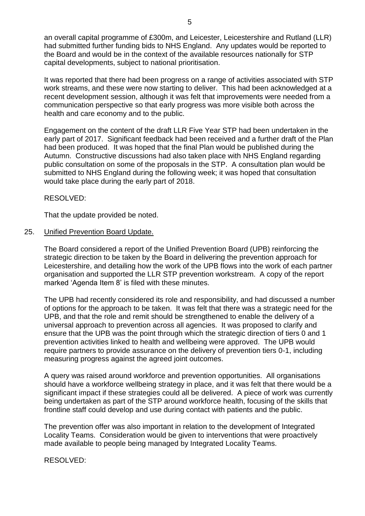an overall capital programme of £300m, and Leicester, Leicestershire and Rutland (LLR) had submitted further funding bids to NHS England. Any updates would be reported to the Board and would be in the context of the available resources nationally for STP capital developments, subject to national prioritisation.

It was reported that there had been progress on a range of activities associated with STP work streams, and these were now starting to deliver. This had been acknowledged at a recent development session, although it was felt that improvements were needed from a communication perspective so that early progress was more visible both across the health and care economy and to the public.

Engagement on the content of the draft LLR Five Year STP had been undertaken in the early part of 2017. Significant feedback had been received and a further draft of the Plan had been produced. It was hoped that the final Plan would be published during the Autumn. Constructive discussions had also taken place with NHS England regarding public consultation on some of the proposals in the STP. A consultation plan would be submitted to NHS England during the following week; it was hoped that consultation would take place during the early part of 2018.

RESOLVED:

That the update provided be noted.

#### 25. Unified Prevention Board Update.

The Board considered a report of the Unified Prevention Board (UPB) reinforcing the strategic direction to be taken by the Board in delivering the prevention approach for Leicestershire, and detailing how the work of the UPB flows into the work of each partner organisation and supported the LLR STP prevention workstream. A copy of the report marked 'Agenda Item 8' is filed with these minutes.

The UPB had recently considered its role and responsibility, and had discussed a number of options for the approach to be taken. It was felt that there was a strategic need for the UPB, and that the role and remit should be strengthened to enable the delivery of a universal approach to prevention across all agencies. It was proposed to clarify and ensure that the UPB was the point through which the strategic direction of tiers 0 and 1 prevention activities linked to health and wellbeing were approved. The UPB would require partners to provide assurance on the delivery of prevention tiers 0-1, including measuring progress against the agreed joint outcomes.

A query was raised around workforce and prevention opportunities. All organisations should have a workforce wellbeing strategy in place, and it was felt that there would be a significant impact if these strategies could all be delivered. A piece of work was currently being undertaken as part of the STP around workforce health, focusing of the skills that frontline staff could develop and use during contact with patients and the public.

The prevention offer was also important in relation to the development of Integrated Locality Teams. Consideration would be given to interventions that were proactively made available to people being managed by Integrated Locality Teams.

RESOLVED: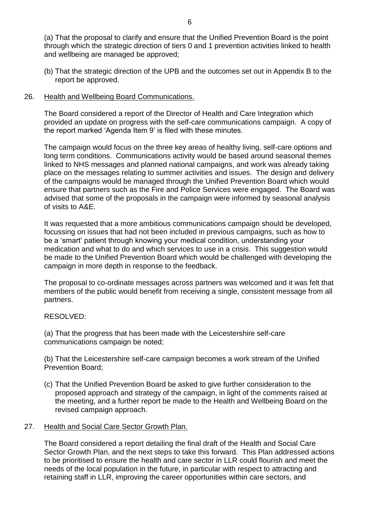(a) That the proposal to clarify and ensure that the Unified Prevention Board is the point through which the strategic direction of tiers 0 and 1 prevention activities linked to health and wellbeing are managed be approved;

(b) That the strategic direction of the UPB and the outcomes set out in Appendix B to the report be approved.

# 26. Health and Wellbeing Board Communications.

The Board considered a report of the Director of Health and Care Integration which provided an update on progress with the self-care communications campaign. A copy of the report marked 'Agenda Item 9' is filed with these minutes.

The campaign would focus on the three key areas of healthy living, self-care options and long term conditions. Communications activity would be based around seasonal themes linked to NHS messages and planned national campaigns, and work was already taking place on the messages relating to summer activities and issues. The design and delivery of the campaigns would be managed through the Unified Prevention Board which would ensure that partners such as the Fire and Police Services were engaged. The Board was advised that some of the proposals in the campaign were informed by seasonal analysis of visits to A&E.

It was requested that a more ambitious communications campaign should be developed, focussing on issues that had not been included in previous campaigns, such as how to be a 'smart' patient through knowing your medical condition, understanding your medication and what to do and which services to use in a crisis. This suggestion would be made to the Unified Prevention Board which would be challenged with developing the campaign in more depth in response to the feedback.

The proposal to co-ordinate messages across partners was welcomed and it was felt that members of the public would benefit from receiving a single, consistent message from all partners.

# RESOLVED:

(a) That the progress that has been made with the Leicestershire self-care communications campaign be noted;

(b) That the Leicestershire self-care campaign becomes a work stream of the Unified Prevention Board;

(c) That the Unified Prevention Board be asked to give further consideration to the proposed approach and strategy of the campaign, in light of the comments raised at the meeting, and a further report be made to the Health and Wellbeing Board on the revised campaign approach.

## 27. Health and Social Care Sector Growth Plan.

The Board considered a report detailing the final draft of the Health and Social Care Sector Growth Plan, and the next steps to take this forward. This Plan addressed actions to be prioritised to ensure the health and care sector in LLR could flourish and meet the needs of the local population in the future, in particular with respect to attracting and retaining staff in LLR, improving the career opportunities within care sectors, and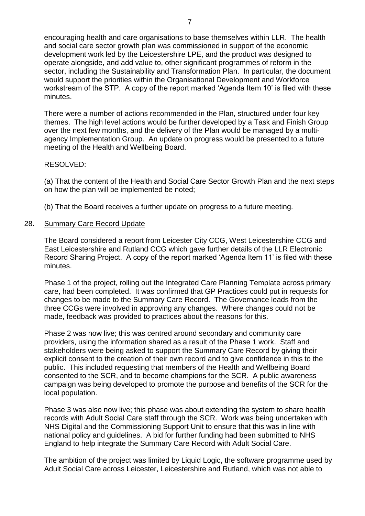encouraging health and care organisations to base themselves within LLR. The health and social care sector growth plan was commissioned in support of the economic development work led by the Leicestershire LPE, and the product was designed to operate alongside, and add value to, other significant programmes of reform in the sector, including the Sustainability and Transformation Plan. In particular, the document would support the priorities within the Organisational Development and Workforce workstream of the STP. A copy of the report marked 'Agenda Item 10' is filed with these minutes.

There were a number of actions recommended in the Plan, structured under four key themes. The high level actions would be further developed by a Task and Finish Group over the next few months, and the delivery of the Plan would be managed by a multiagency Implementation Group. An update on progress would be presented to a future meeting of the Health and Wellbeing Board.

#### RESOLVED:

(a) That the content of the Health and Social Care Sector Growth Plan and the next steps on how the plan will be implemented be noted;

(b) That the Board receives a further update on progress to a future meeting.

#### 28. Summary Care Record Update

The Board considered a report from Leicester City CCG, West Leicestershire CCG and East Leicestershire and Rutland CCG which gave further details of the LLR Electronic Record Sharing Project. A copy of the report marked 'Agenda Item 11' is filed with these minutes.

Phase 1 of the project, rolling out the Integrated Care Planning Template across primary care, had been completed. It was confirmed that GP Practices could put in requests for changes to be made to the Summary Care Record. The Governance leads from the three CCGs were involved in approving any changes. Where changes could not be made, feedback was provided to practices about the reasons for this.

Phase 2 was now live; this was centred around secondary and community care providers, using the information shared as a result of the Phase 1 work. Staff and stakeholders were being asked to support the Summary Care Record by giving their explicit consent to the creation of their own record and to give confidence in this to the public. This included requesting that members of the Health and Wellbeing Board consented to the SCR, and to become champions for the SCR. A public awareness campaign was being developed to promote the purpose and benefits of the SCR for the local population.

Phase 3 was also now live; this phase was about extending the system to share health records with Adult Social Care staff through the SCR. Work was being undertaken with NHS Digital and the Commissioning Support Unit to ensure that this was in line with national policy and guidelines. A bid for further funding had been submitted to NHS England to help integrate the Summary Care Record with Adult Social Care.

The ambition of the project was limited by Liquid Logic, the software programme used by Adult Social Care across Leicester, Leicestershire and Rutland, which was not able to